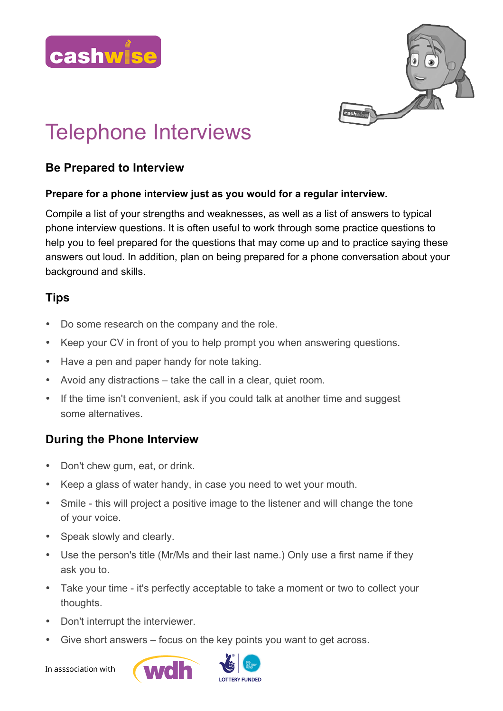



# Telephone Interviews

#### **Be Prepared to Interview**

#### **Prepare for a phone interview just as you would for a regular interview.**

Compile a list of your strengths and weaknesses, as well as a list of answers to typical phone interview questions. It is often useful to work through some practice questions to help you to feel prepared for the questions that may come up and to practice saying these answers out loud. In addition, plan on being prepared for a phone conversation about your background and skills.

### **Tips**

- Do some research on the company and the role.
- Keep your CV in front of you to help prompt you when answering questions.
- Have a pen and paper handy for note taking.
- Avoid any distractions take the call in a clear, quiet room.
- If the time isn't convenient, ask if you could talk at another time and suggest some alternatives.

## **During the Phone Interview**

- Don't chew gum, eat, or drink.
- Keep a glass of water handy, in case you need to wet your mouth.
- Smile this will project a positive image to the listener and will change the tone of your voice.
- Speak slowly and clearly.
- Use the person's title (Mr/Ms and their last name.) Only use a first name if they ask you to.
- Take your time it's perfectly acceptable to take a moment or two to collect your thoughts.
- Don't interrupt the interviewer.
- Give short answers focus on the key points you want to get across.